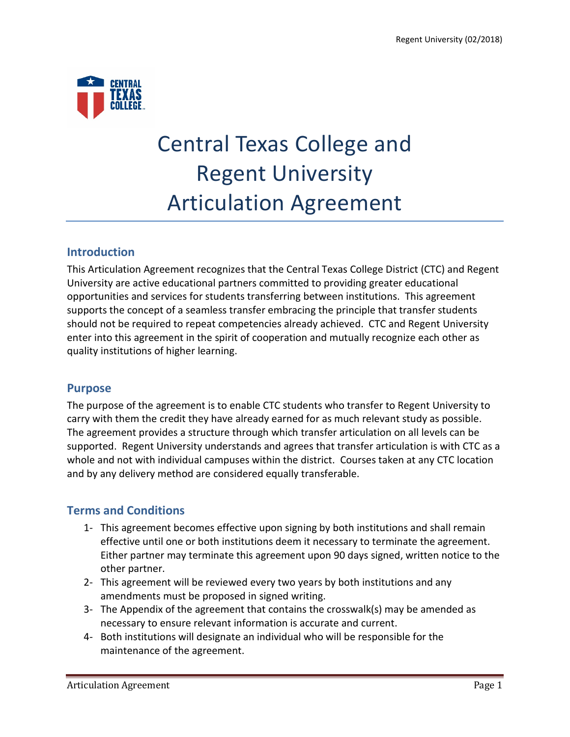

# Central Texas College and Regent University Articulation Agreement

## **Introduction**

This Articulation Agreement recognizes that the Central Texas College District (CTC) and Regent University are active educational partners committed to providing greater educational opportunities and services for students transferring between institutions. This agreement supports the concept of a seamless transfer embracing the principle that transfer students should not be required to repeat competencies already achieved. CTC and Regent University enter into this agreement in the spirit of cooperation and mutually recognize each other as quality institutions of higher learning.

### **Purpose**

The purpose of the agreement is to enable CTC students who transfer to Regent University to carry with them the credit they have already earned for as much relevant study as possible. The agreement provides a structure through which transfer articulation on all levels can be supported. Regent University understands and agrees that transfer articulation is with CTC as a whole and not with individual campuses within the district. Courses taken at any CTC location and by any delivery method are considered equally transferable.

# **Terms and Conditions**

- 1- This agreement becomes effective upon signing by both institutions and shall remain effective until one or both institutions deem it necessary to terminate the agreement. Either partner may terminate this agreement upon 90 days signed, written notice to the other partner.
- 2- This agreement will be reviewed every two years by both institutions and any amendments must be proposed in signed writing.
- 3- The Appendix of the agreement that contains the crosswalk(s) may be amended as necessary to ensure relevant information is accurate and current.
- 4- Both institutions will designate an individual who will be responsible for the maintenance of the agreement.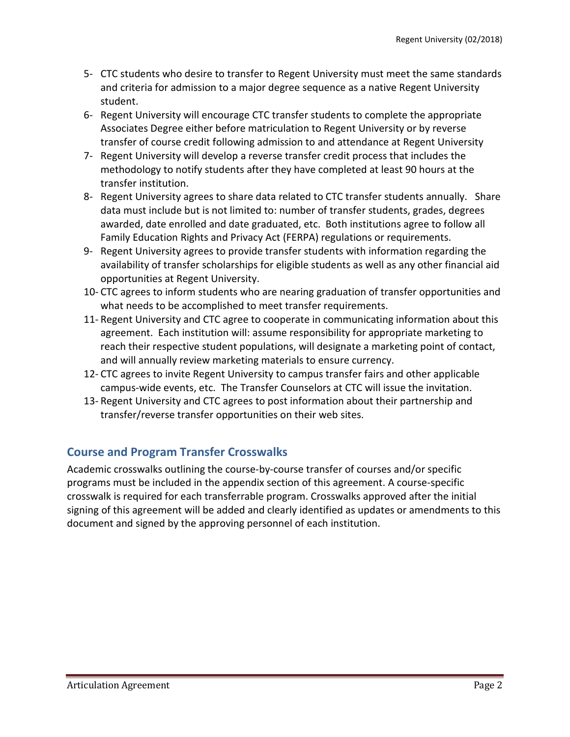- 5- CTC students who desire to transfer to Regent University must meet the same standards and criteria for admission to a major degree sequence as a native Regent University student.
- 6- Regent University will encourage CTC transfer students to complete the appropriate Associates Degree either before matriculation to Regent University or by reverse transfer of course credit following admission to and attendance at Regent University
- 7- Regent University will develop a reverse transfer credit process that includes the methodology to notify students after they have completed at least 90 hours at the transfer institution.
- 8- Regent University agrees to share data related to CTC transfer students annually. Share data must include but is not limited to: number of transfer students, grades, degrees awarded, date enrolled and date graduated, etc. Both institutions agree to follow all Family Education Rights and Privacy Act (FERPA) regulations or requirements.
- 9- Regent University agrees to provide transfer students with information regarding the availability of transfer scholarships for eligible students as well as any other financial aid opportunities at Regent University.
- 10- CTC agrees to inform students who are nearing graduation of transfer opportunities and what needs to be accomplished to meet transfer requirements.
- 11- Regent University and CTC agree to cooperate in communicating information about this agreement. Each institution will: assume responsibility for appropriate marketing to reach their respective student populations, will designate a marketing point of contact, and will annually review marketing materials to ensure currency.
- 12- CTC agrees to invite Regent University to campus transfer fairs and other applicable campus-wide events, etc. The Transfer Counselors at CTC will issue the invitation.
- 13- Regent University and CTC agrees to post information about their partnership and transfer/reverse transfer opportunities on their web sites.

# **Course and Program Transfer Crosswalks**

Academic crosswalks outlining the course-by-course transfer of courses and/or specific programs must be included in the appendix section of this agreement. A course-specific crosswalk is required for each transferrable program. Crosswalks approved after the initial signing of this agreement will be added and clearly identified as updates or amendments to this document and signed by the approving personnel of each institution.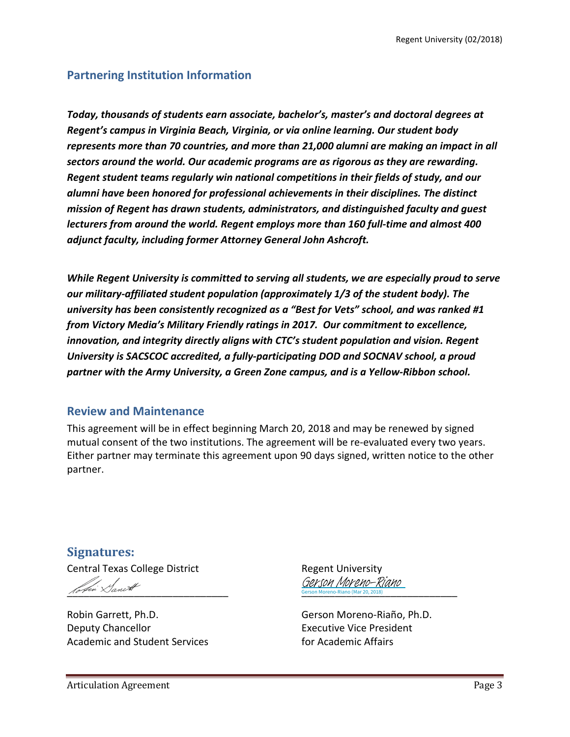### **Partnering Institution Information**

*Today, thousands of students earn associate, bachelor's, master's and doctoral degrees at Regent's campus in Virginia Beach, Virginia, or via online learning. Our student body represents more than 70 countries, and more than 21,000 alumni are making an impact in all sectors around the world. Our academic programs are as rigorous as they are rewarding. Regent student teams regularly win national competitions in their fields of study, and our alumni have been honored for professional achievements in their disciplines. The distinct mission of Regent has drawn students, administrators, and distinguished faculty and guest lecturers from around the world. Regent employs more than 160 full-time and almost 400 adjunct faculty, including former Attorney General John Ashcroft.*

*While Regent University is committed to serving all students, we are especially proud to serve our military-affiliated student population (approximately 1/3 of the student body). The university has been consistently recognized as a "Best for Vets" school, and was ranked #1 from Victory Media's Military Friendly ratings in 2017. Our commitment to excellence, innovation, and integrity directly aligns with CTC's student population and vision. Regent University is SACSCOC accredited, a fully-participating DOD and SOCNAV school, a proud partner with the Army University, a Green Zone campus, and is a Yellow-Ribbon school.* 

#### **Review and Maintenance**

This agreement will be in effect beginning March 20, 2018 and may be renewed by signed mutual consent of the two institutions. The agreement will be re-evaluated every two years. Either partner may terminate this agreement upon 90 days signed, written notice to the other partner.

**Signatures:** Central Texas College District **Regent University**  $\pi$ 

Robin Garrett, Ph.D. Gerson Moreno-Riaño, Ph.D. Deputy Chancellor **Executive Vice President** Academic and Student Services and the student Services for Academic Affairs

Gerson Moreno-Riano (Mar 20, 2018) Gerson Moreno-Riano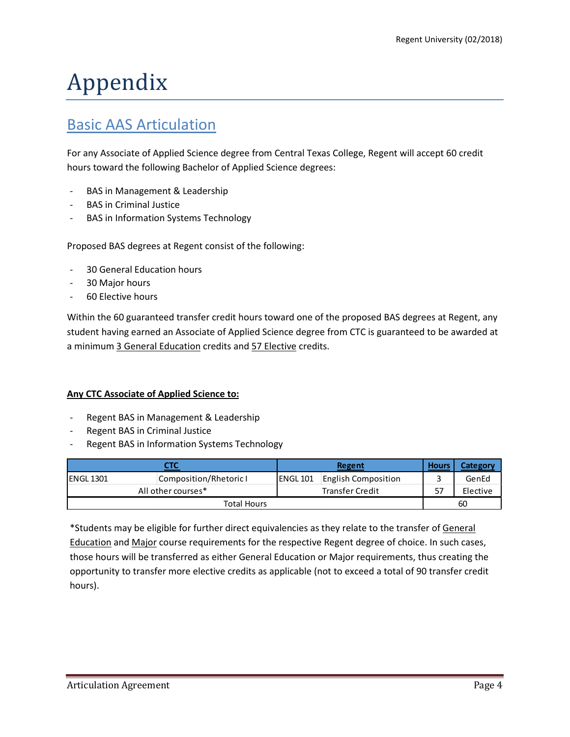# Appendix

# Basic AAS Articulation

For any Associate of Applied Science degree from Central Texas College, Regent will accept 60 credit hours toward the following Bachelor of Applied Science degrees:

- BAS in Management & Leadership
- BAS in Criminal Justice
- BAS in Information Systems Technology

Proposed BAS degrees at Regent consist of the following:

- 30 General Education hours
- 30 Major hours
- 60 Elective hours

Within the 60 guaranteed transfer credit hours toward one of the proposed BAS degrees at Regent, any student having earned an Associate of Applied Science degree from CTC is guaranteed to be awarded at a minimum 3 General Education credits and 57 Elective credits.

#### **Any CTC Associate of Applied Science to:**

- Regent BAS in Management & Leadership
- Regent BAS in Criminal Justice
- Regent BAS in Information Systems Technology

| стс                                          |                        |           | Regent                     |    | Category |
|----------------------------------------------|------------------------|-----------|----------------------------|----|----------|
| IENGL 1301                                   | Composition/Rhetoric I | IENGL 101 | <b>English Composition</b> |    | GenEd    |
| <b>Transfer Credit</b><br>All other courses* |                        |           |                            | 57 | Elective |
| <b>Total Hours</b>                           |                        |           |                            |    | 60       |

\*Students may be eligible for further direct equivalencies as they relate to the transfer of General Education and Major course requirements for the respective Regent degree of choice. In such cases, those hours will be transferred as either General Education or Major requirements, thus creating the opportunity to transfer more elective credits as applicable (not to exceed a total of 90 transfer credit hours).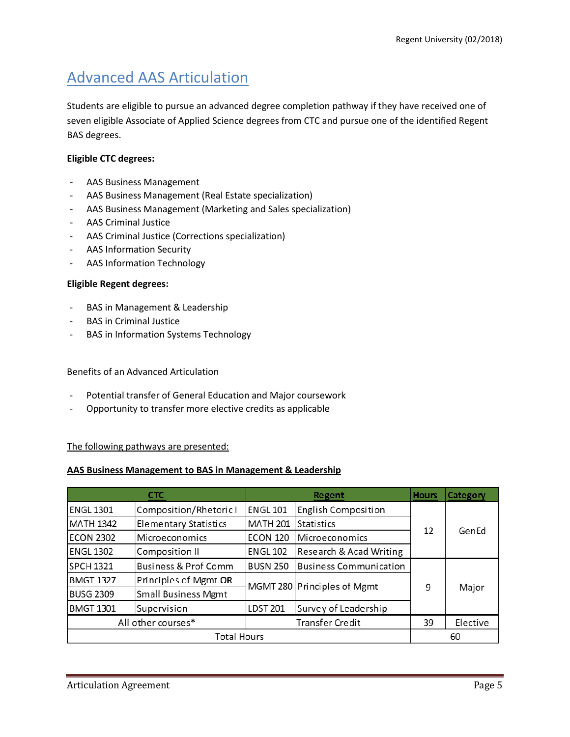# Advanced AAS Articulation

Students are eligible to pursue an advanced degree completion pathway if they have received one of seven eligible Associate of Applied Science degrees from CTC and pursue one of the identified Regent BAS degrees.

#### **Eligible CTC degrees:**

- AAS Business Management
- AAS Business Management (Real Estate specialization)
- AAS Business Management (Marketing and Sales specialization)
- AAS Criminal Justice
- AAS Criminal Justice (Corrections specialization)
- AAS Information Security
- AAS Information Technology

#### **Eligible Regent degrees:**

- BAS in Management & Leadership
- BAS in Criminal Justice
- BAS in Information Systems Technology

#### Benefits of an Advanced Articulation

- Potential transfer of General Education and Major coursework
- Opportunity to transfer more elective credits as applicable

#### The following pathways are presented:

#### **AAS Business Management to BAS in Management & Leadership**

|                                              | <b>CTC</b><br>Regent            |                 | <b>Hours</b>                  | Category |       |
|----------------------------------------------|---------------------------------|-----------------|-------------------------------|----------|-------|
| <b>ENGL 1301</b>                             | Composition/Rhetoric I          | <b>ENGL 101</b> | <b>English Composition</b>    |          |       |
| <b>MATH 1342</b>                             | <b>Elementary Statistics</b>    | <b>MATH 201</b> | <b>Statistics</b>             |          | GenEd |
| <b>ECON 2302</b>                             | Microeconomics                  | ECON 120        | Microeconomics                | 12       |       |
| <b>ENGL 1302</b>                             | Composition II                  | <b>ENGL 102</b> | Research & Acad Writing       |          |       |
| <b>SPCH 1321</b>                             | <b>Business &amp; Prof Comm</b> | <b>BUSN 250</b> | <b>Business Communication</b> |          |       |
| <b>BMGT 1327</b>                             | Principles of Mgmt OR           |                 | MGMT 280 Principles of Mgmt   |          |       |
| <b>BUSG 2309</b>                             | <b>Small Business Mgmt</b>      |                 |                               | 9        | Major |
| <b>BMGT 1301</b>                             | Supervision                     | <b>LDST 201</b> | Survey of Leadership          |          |       |
| All other courses*<br><b>Transfer Credit</b> |                                 | 39              | Elective                      |          |       |
| <b>Total Hours</b>                           |                                 |                 |                               |          | 60    |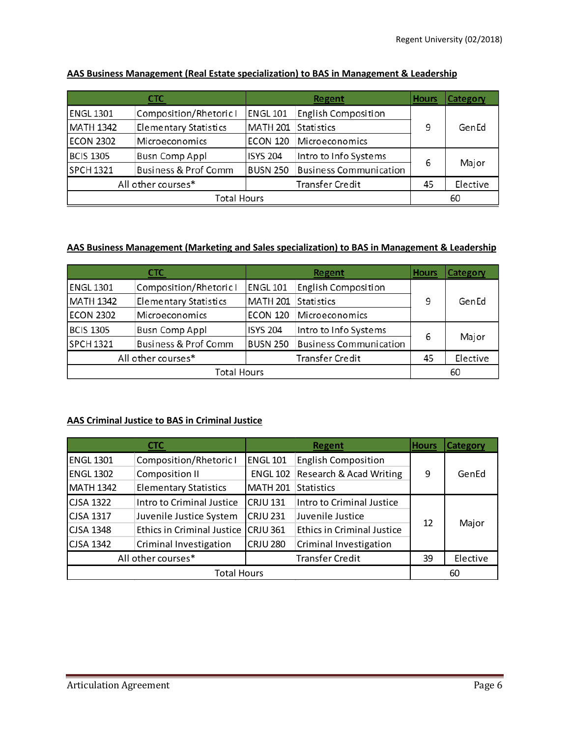| <b>CTC</b>                                   |                                 | Regent          |                               | <b>Hours</b> | Category |
|----------------------------------------------|---------------------------------|-----------------|-------------------------------|--------------|----------|
| <b>ENGL 1301</b>                             | Composition/Rhetoric I          | <b>ENGL 101</b> | <b>English Composition</b>    |              |          |
| <b>MATH 1342</b>                             | <b>Elementary Statistics</b>    | <b>MATH 201</b> | Statistics                    | 9            | GenEd    |
| <b>ECON 2302</b>                             | Microeconomics                  | ECON 120        | Microeconomics                |              |          |
| <b>BCIS 1305</b>                             | <b>Busn Comp Appl</b>           | <b>ISYS 204</b> | Intro to Info Systems         |              |          |
| <b>SPCH 1321</b>                             | <b>Business &amp; Prof Comm</b> | <b>BUSN 250</b> | <b>Business Communication</b> | 6            | Major    |
| All other courses*<br><b>Transfer Credit</b> |                                 |                 | 45                            | Elective     |          |
| <b>Total Hours</b>                           |                                 |                 |                               |              | 60       |

#### **AAS Business Management (Real Estate specialization) to BAS in Management & Leadership**

#### **AAS Business Management (Marketing and Sales specialization) to BAS in Management & Leadership**

| CTC                                          |                                 | Regent          |                               | <b>Hours</b> | Category |
|----------------------------------------------|---------------------------------|-----------------|-------------------------------|--------------|----------|
| <b>ENGL 1301</b>                             | Composition/Rhetoric I          | <b>ENGL 101</b> | English Composition           |              |          |
| <b>MATH 1342</b>                             | <b>Elementary Statistics</b>    | MATH 201        | <b>Statistics</b>             | 9            | GenEd    |
| <b>ECON 2302</b>                             | Microeconomics                  | <b>ECON 120</b> | Microeconomics                |              |          |
| <b>BCIS 1305</b>                             | <b>Busn Comp Appl</b>           | <b>ISYS 204</b> | Intro to Info Systems         |              |          |
| <b>SPCH 1321</b>                             | <b>Business &amp; Prof Comm</b> | <b>BUSN 250</b> | <b>Business Communication</b> | 6            | Major    |
| All other courses*<br><b>Transfer Credit</b> |                                 |                 | 45                            | Elective     |          |
| <b>Total Hours</b>                           |                                 |                 |                               |              | 60       |

#### **AAS Criminal Justice to BAS in Criminal Justice**

| СТС                                          |                                   | <b>Regent</b>   |                                   | <b>Hours</b> | <b>Category</b> |
|----------------------------------------------|-----------------------------------|-----------------|-----------------------------------|--------------|-----------------|
| <b>ENGL 1301</b>                             | Composition/Rhetoric I            | <b>ENGL 101</b> | <b>English Composition</b>        |              |                 |
| <b>ENGL 1302</b>                             | Composition II                    | <b>ENGL 102</b> | Research & Acad Writing           | 9            | GenEd           |
| <b>MATH 1342</b>                             | <b>Elementary Statistics</b>      | <b>MATH 201</b> | <b>Statistics</b>                 |              |                 |
| <b>CJSA 1322</b>                             | Intro to Criminal Justice         | <b>CRJU 131</b> | Intro to Criminal Justice         |              | Major           |
| <b>CJSA 1317</b>                             | Juvenile Justice System           | <b>CRJU 231</b> | Juvenile Justice                  | 12           |                 |
| <b>CJSA 1348</b>                             | <b>Ethics in Criminal Justice</b> | $CRJU$ 361      | <b>Ethics in Criminal Justice</b> |              |                 |
| <b>CJSA 1342</b>                             | Criminal Investigation            | <b>CRJU 280</b> | Criminal Investigation            |              |                 |
| All other courses*<br><b>Transfer Credit</b> |                                   |                 | 39                                | Elective     |                 |
| <b>Total Hours</b>                           |                                   |                 |                                   |              | 60              |